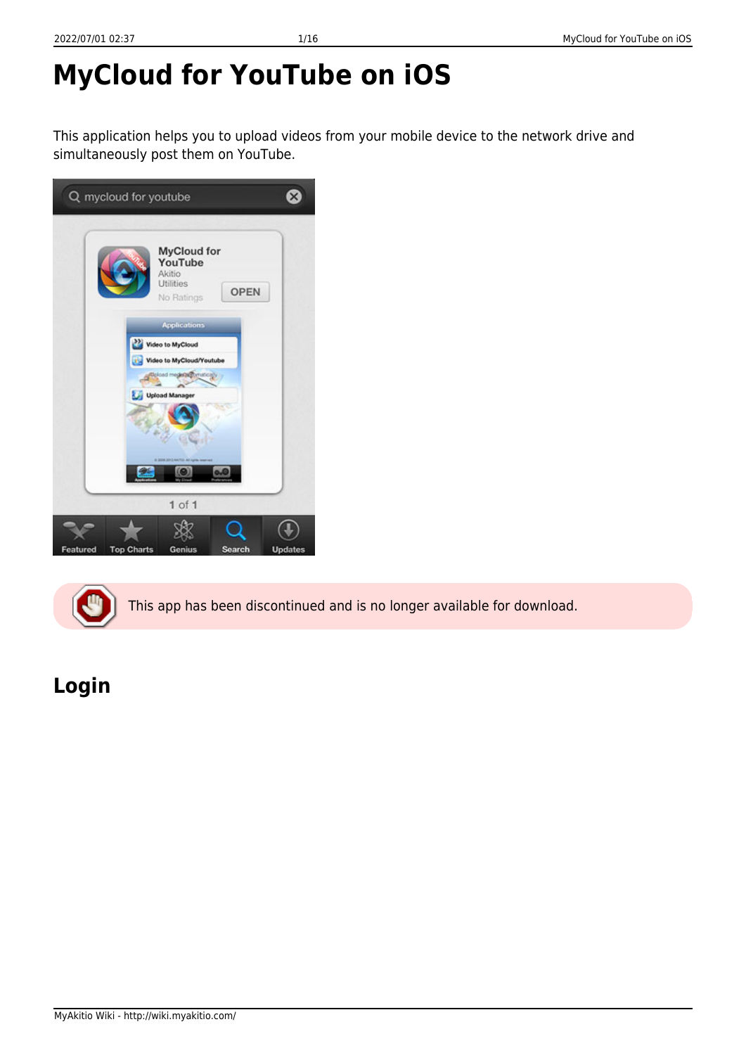# **MyCloud for YouTube on iOS**

This application helps you to upload videos from your mobile device to the network drive and simultaneously post them on YouTube.





This app has been discontinued and is no longer available for download.

# **Login**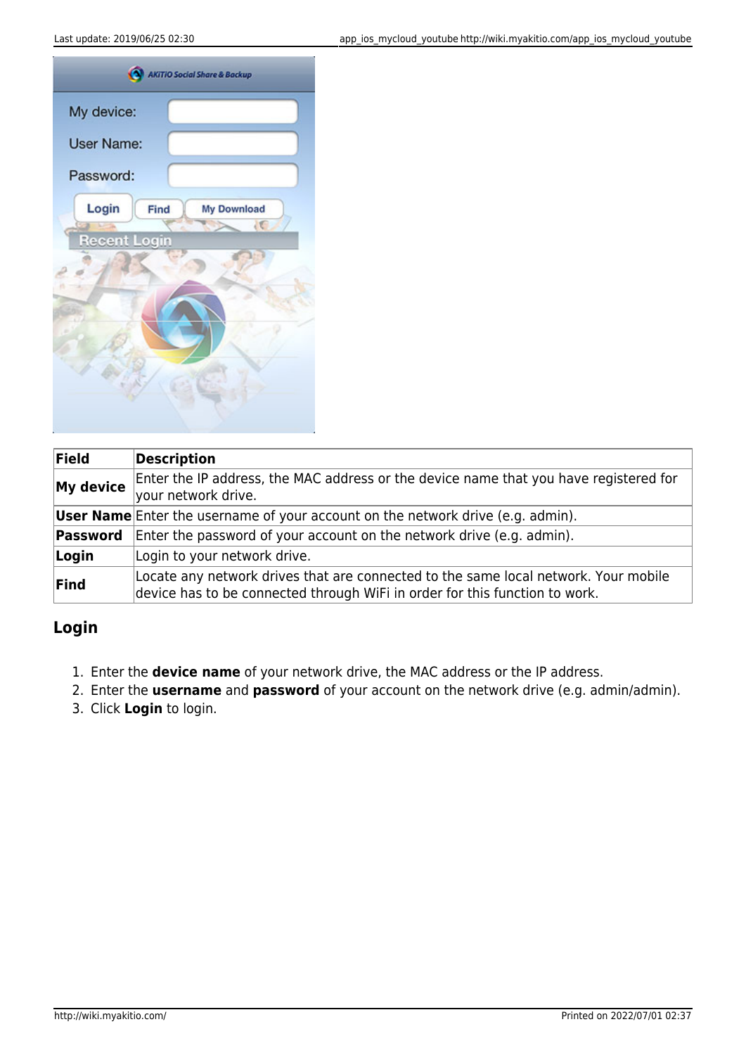| My device:          |      |             |  |
|---------------------|------|-------------|--|
| <b>User Name:</b>   |      |             |  |
| Password:           |      |             |  |
| Login               | Find | My Download |  |
| <b>Recent Login</b> |      | 1C          |  |
|                     |      |             |  |
|                     |      |             |  |
|                     |      |             |  |
|                     |      |             |  |
|                     |      |             |  |
|                     |      |             |  |

| Field     | <b>Description</b>                                                                                                                                                 |
|-----------|--------------------------------------------------------------------------------------------------------------------------------------------------------------------|
| My device | Enter the IP address, the MAC address or the device name that you have registered for<br>your network drive.                                                       |
|           | <b>User Name</b> Enter the username of your account on the network drive (e.g. admin).                                                                             |
| Password  | Enter the password of your account on the network drive (e.g. admin).                                                                                              |
| Login     | Login to your network drive.                                                                                                                                       |
| Find      | Locate any network drives that are connected to the same local network. Your mobile<br>device has to be connected through WiFi in order for this function to work. |

#### **Login**

- 1. Enter the **device name** of your network drive, the MAC address or the IP address.
- 2. Enter the **username** and **password** of your account on the network drive (e.g. admin/admin).
- 3. Click **Login** to login.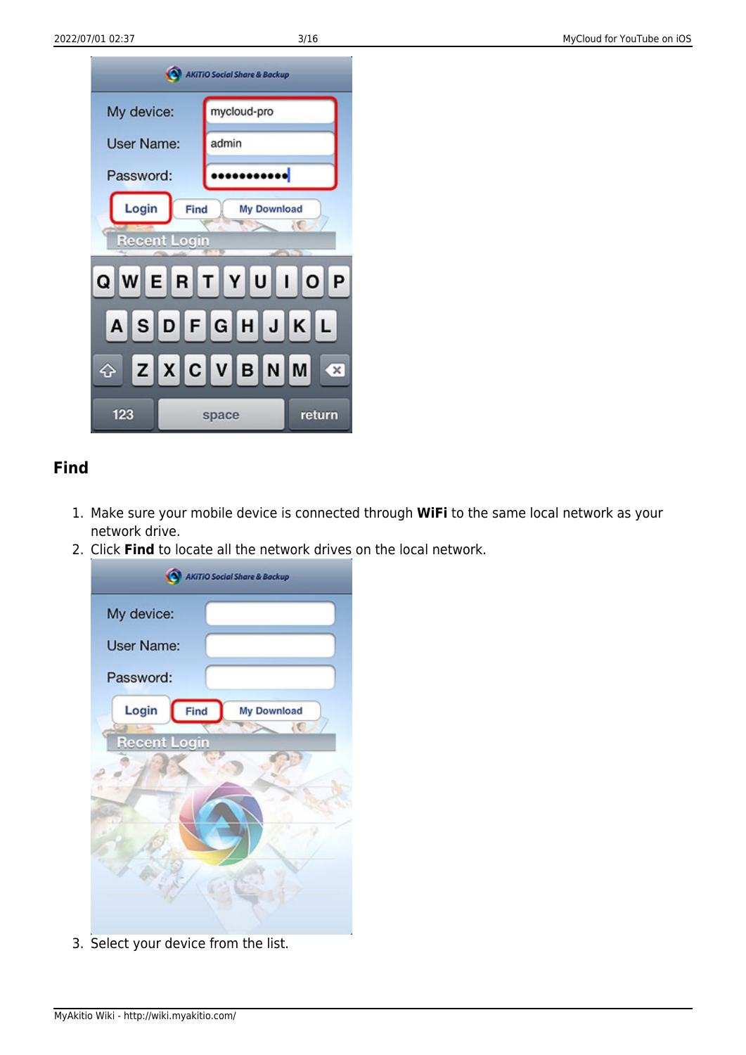| <b>AKITIO Social Share &amp; Backup</b>        |                          |  |
|------------------------------------------------|--------------------------|--|
| My device:                                     | mycloud-pro              |  |
| User Name:                                     | admin                    |  |
| Password:                                      | <mark>.</mark>           |  |
| Login<br>Find<br><b>Recent Login</b>           | <b>My Download</b><br>łС |  |
| QWERTYU<br>$\overline{O}$<br>$\mathbf{I}$<br>P |                          |  |
| ASDFGHJK<br> L <br>ZXCVBN<br>$\mathbf{x}$<br>♤ |                          |  |
| 123                                            | return<br>space          |  |

#### **Find**

- 1. Make sure your mobile device is connected through **WiFi** to the same local network as your network drive.
- 2. Click **Find** to locate all the network drives on the local network.



3. Select your device from the list.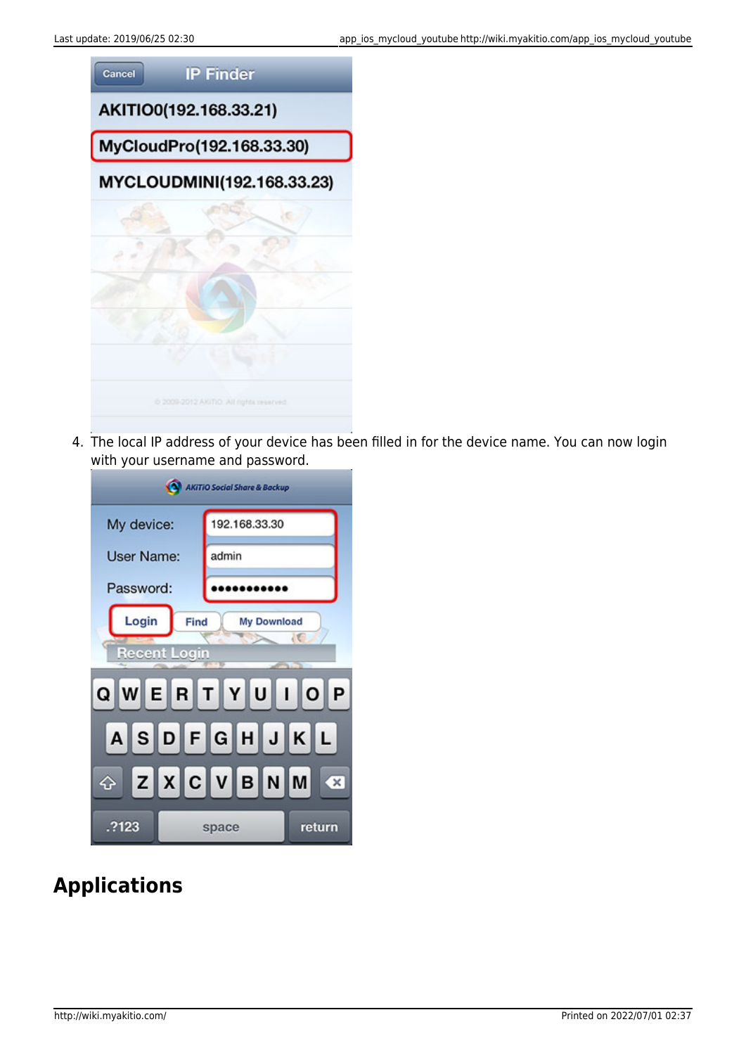

4. The local IP address of your device has been filled in for the device name. You can now login with your username and password.

| <b>AKITIO Social Share &amp; Backup</b>                          |                      |  |
|------------------------------------------------------------------|----------------------|--|
| My device:                                                       | 192.168.33.30        |  |
| <b>User Name:</b>                                                | admin                |  |
| Password:                                                        |                      |  |
| Login<br>Find<br><b>My Download</b><br>łС<br><b>Recent Login</b> |                      |  |
| QWERTYUIOP                                                       |                      |  |
| ASDFGHJKL                                                        |                      |  |
| ♦                                                                | ZXCVBNM<br>$\propto$ |  |
| .?123                                                            | return<br>space      |  |

### **Applications**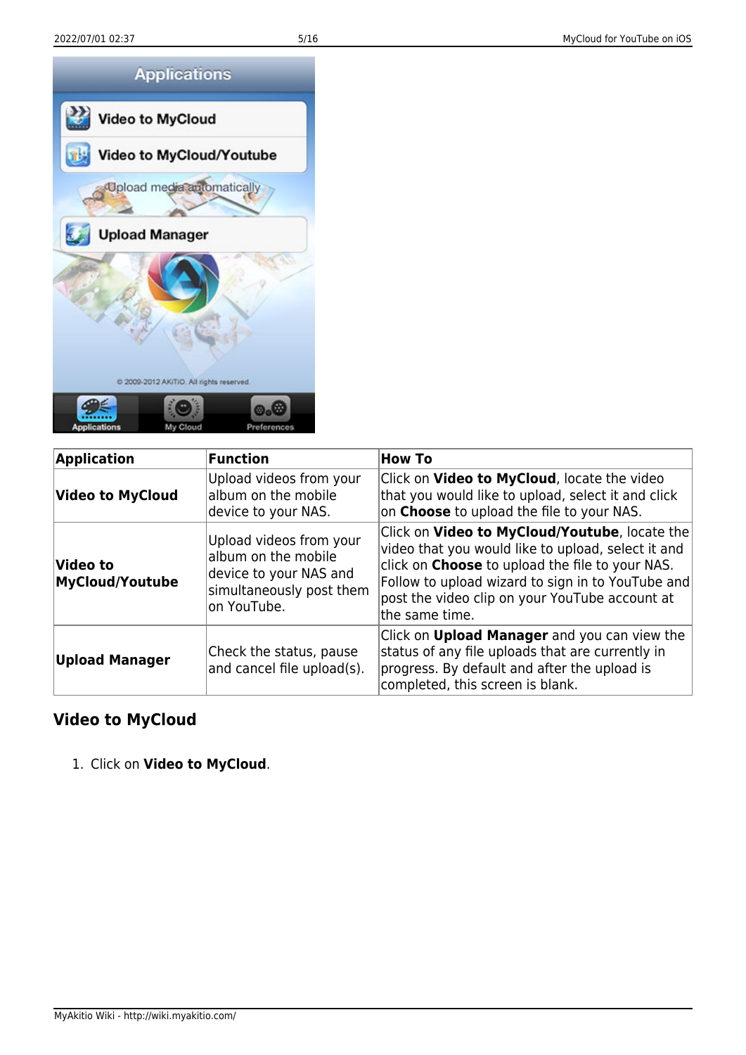

| <b>Application</b>                 | Function                                                                                                            | <b>How To</b>                                                                                                                                                                                                                                                                          |
|------------------------------------|---------------------------------------------------------------------------------------------------------------------|----------------------------------------------------------------------------------------------------------------------------------------------------------------------------------------------------------------------------------------------------------------------------------------|
| <b>Video to MyCloud</b>            | Upload videos from your<br>album on the mobile<br>device to your NAS.                                               | Click on Video to MyCloud, locate the video<br>that you would like to upload, select it and click<br>on <b>Choose</b> to upload the file to your NAS.                                                                                                                                  |
| Video to<br><b>MyCloud/Youtube</b> | Upload videos from your<br>album on the mobile<br>device to your NAS and<br>simultaneously post them<br>on YouTube. | Click on Video to MyCloud/Youtube, locate the<br>video that you would like to upload, select it and<br>click on <b>Choose</b> to upload the file to your NAS.<br>Follow to upload wizard to sign in to YouTube and<br>post the video clip on your YouTube account at<br>the same time. |
| <b>Upload Manager</b>              | Check the status, pause<br>and cancel file upload(s).                                                               | Click on <b>Upload Manager</b> and you can view the<br>status of any file uploads that are currently in<br>progress. By default and after the upload is<br>completed, this screen is blank.                                                                                            |

#### **Video to MyCloud**

1. Click on **Video to MyCloud**.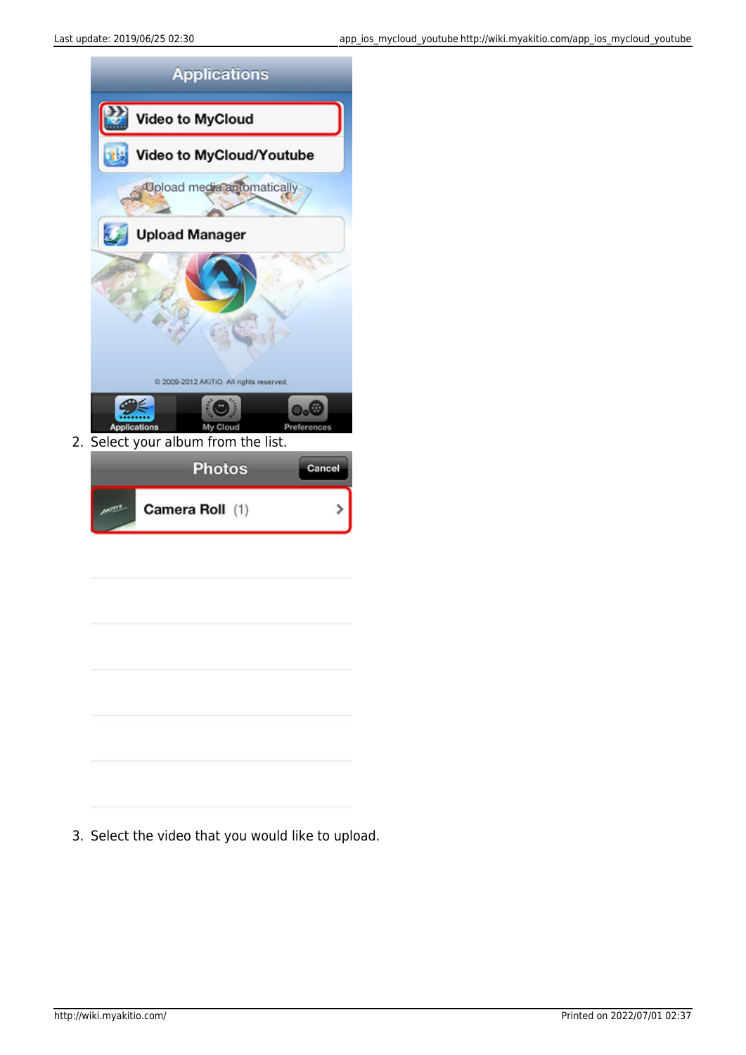

3. Select the video that you would like to upload.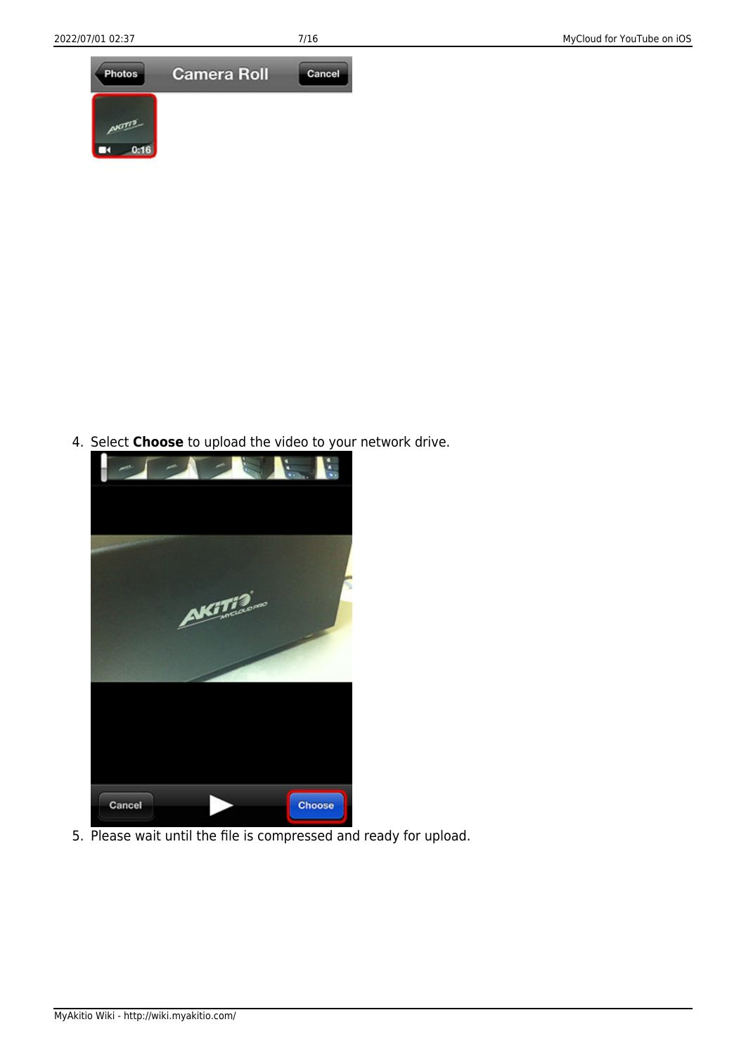

4. Select **Choose** to upload the video to your network drive.



5. Please wait until the file is compressed and ready for upload.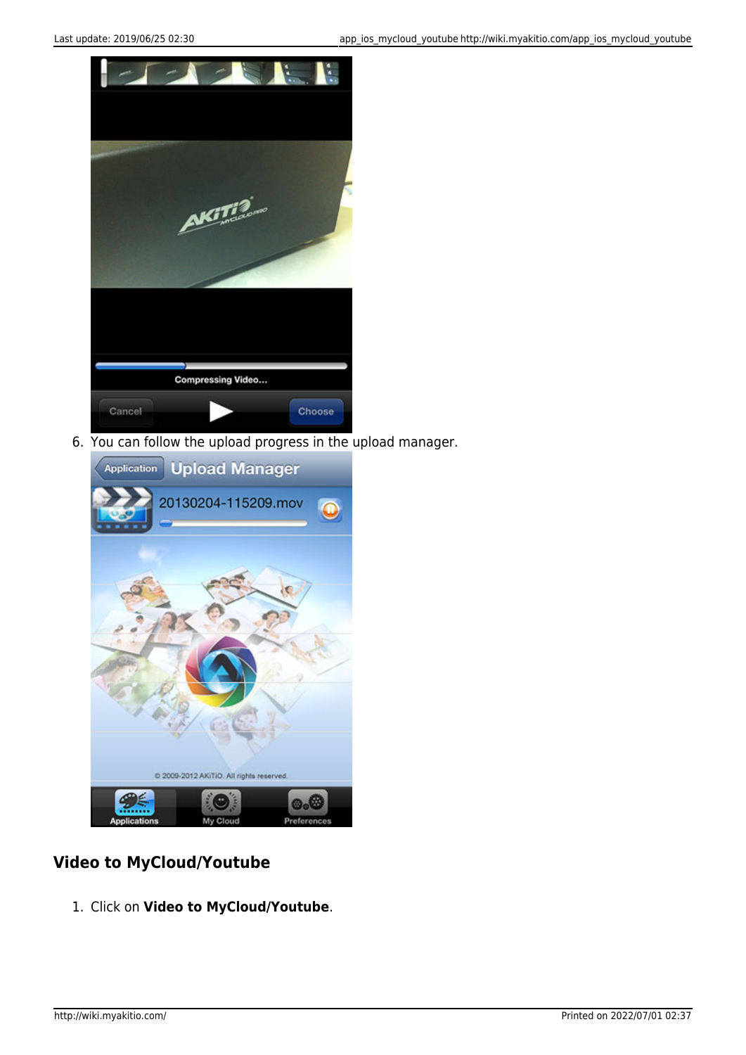

6. You can follow the upload progress in the upload manager.



### **Video to MyCloud/Youtube**

1. Click on **Video to MyCloud/Youtube**.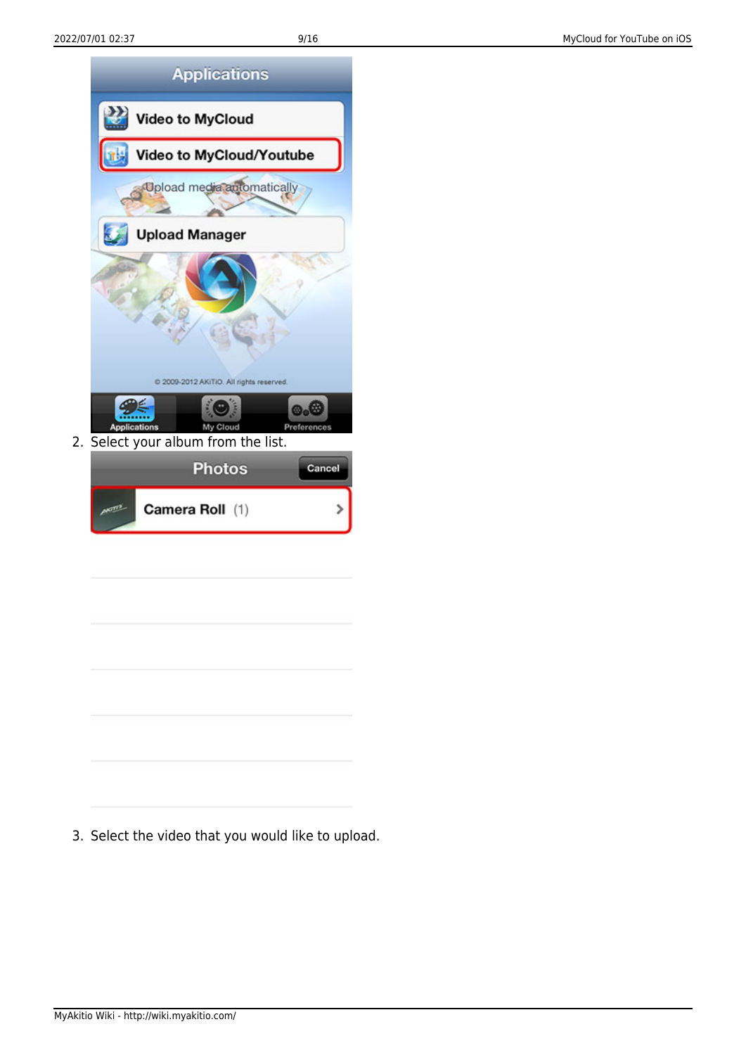

3. Select the video that you would like to upload.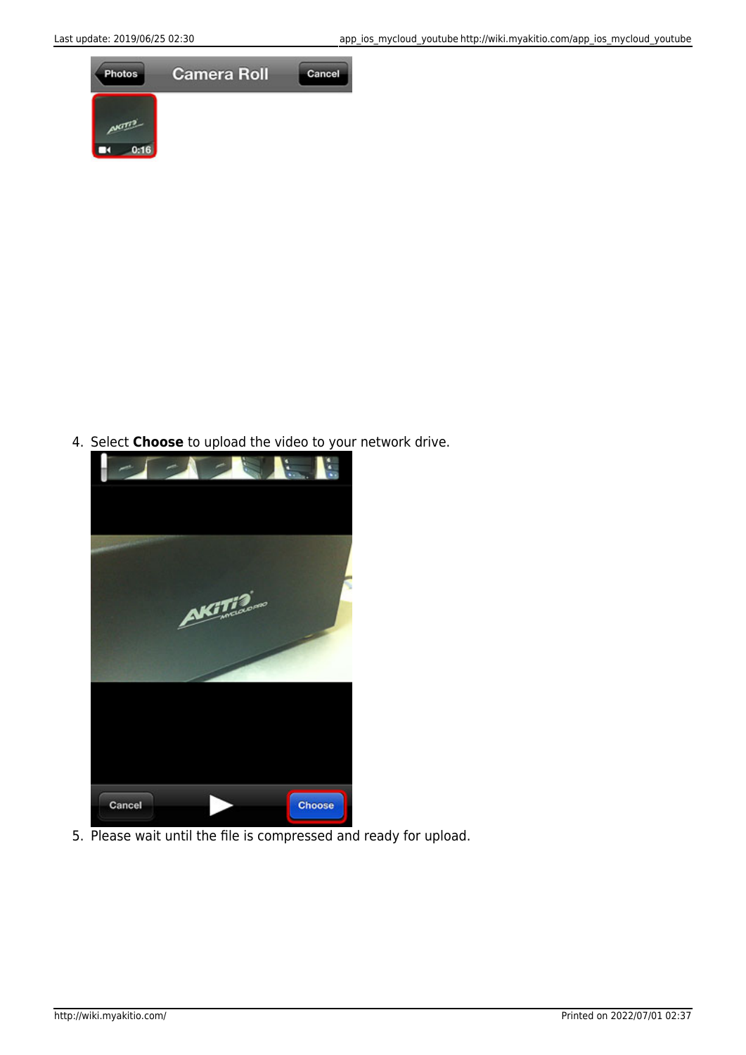

4. Select **Choose** to upload the video to your network drive.



5. Please wait until the file is compressed and ready for upload.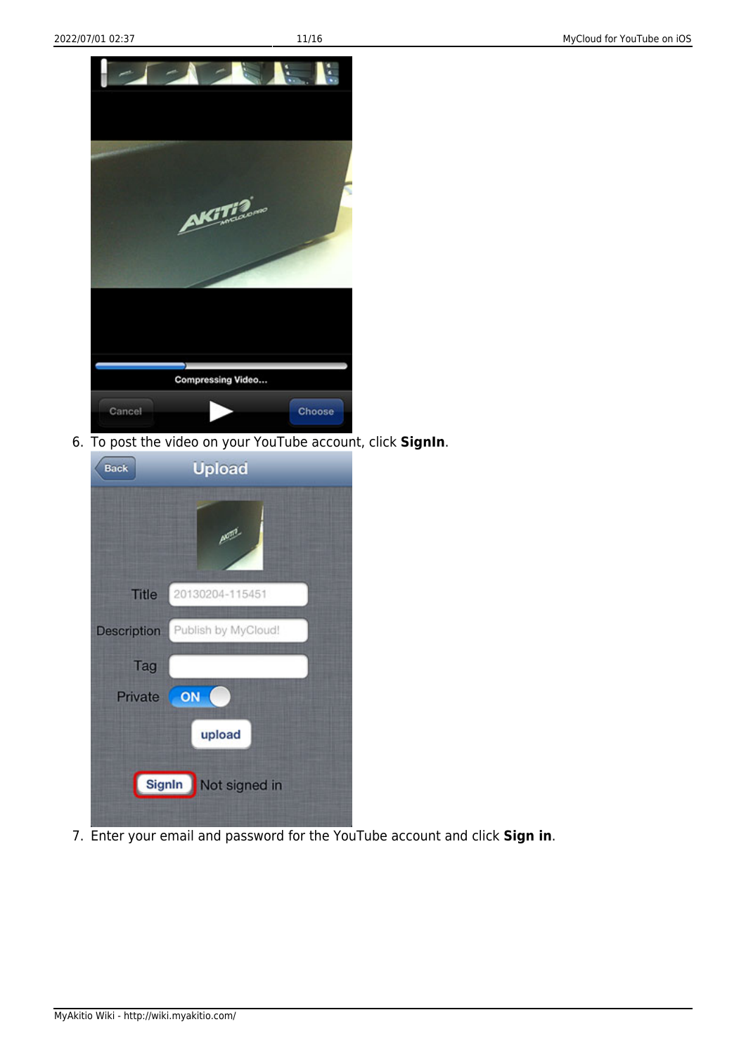

6. To post the video on your YouTube account, click **SignIn**.

| <b>Back</b>        | <b>Upload</b>           |
|--------------------|-------------------------|
|                    | <b>Akim</b>             |
| <b>Title</b>       | 20130204-115451         |
| <b>Description</b> | Publish by MyCloud!     |
| Tag                |                         |
| Private            | ON                      |
|                    | upload                  |
|                    | SignIn<br>Not signed in |

7. Enter your email and password for the YouTube account and click **Sign in**.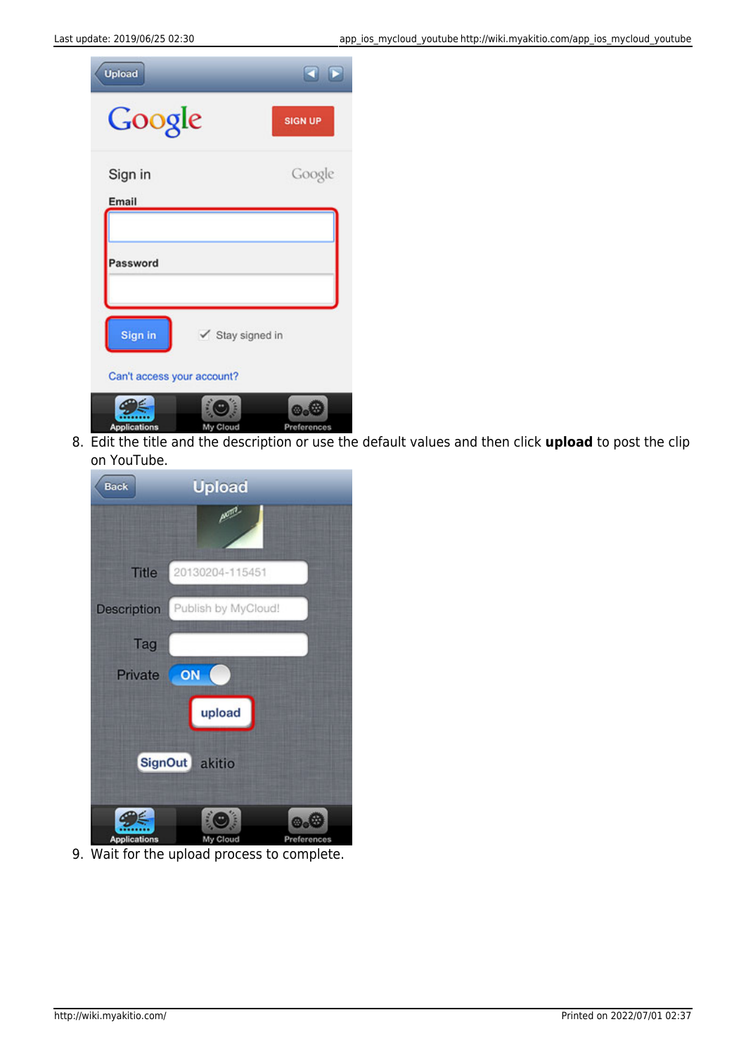| <b>Upload</b>                         |                  | R P            |
|---------------------------------------|------------------|----------------|
| Google                                |                  | <b>SIGN UP</b> |
| Sign in<br>Email                      |                  | Google         |
| Password                              |                  |                |
| Sign in<br>Can't access your account? | ✔ Stay signed in |                |
| Annlications                          |                  |                |

8. Edit the title and the description or use the default values and then click **upload** to post the clip on YouTube.

| <b>Back</b>         | <b>Upload</b>                                                            |
|---------------------|--------------------------------------------------------------------------|
|                     | <b>Akres</b>                                                             |
| <b>Title</b>        | 20130204-115451                                                          |
| Description         | Publish by MyCloud!<br><b>Address of the Contract of the Contract of</b> |
| Tag                 |                                                                          |
| Private             | ON                                                                       |
|                     | upload                                                                   |
|                     | SignOut akitio                                                           |
| <b>Applications</b> | ÷<br>Preferences<br>My Cloud                                             |

9. Wait for the upload process to complete.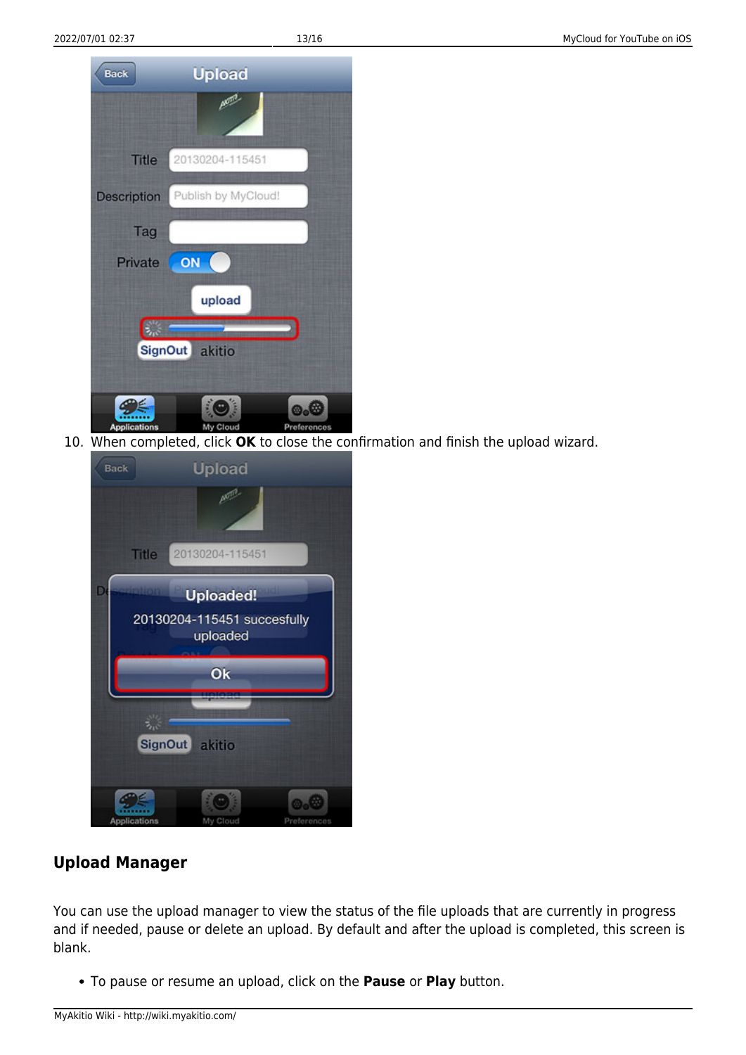

10. When completed, click **OK** to close the confirmation and finish the upload wizard.



#### **Upload Manager**

You can use the upload manager to view the status of the file uploads that are currently in progress and if needed, pause or delete an upload. By default and after the upload is completed, this screen is blank.

To pause or resume an upload, click on the **Pause** or **Play** button.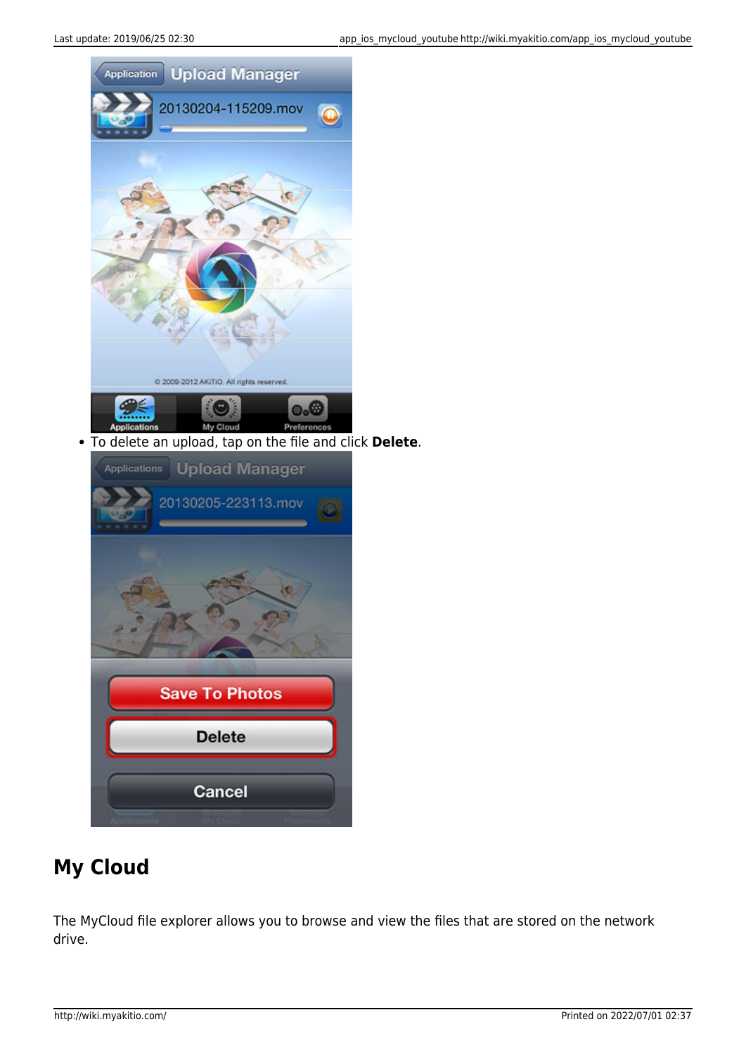

To delete an upload, tap on the file and click **Delete**.



## **My Cloud**

The MyCloud file explorer allows you to browse and view the files that are stored on the network drive.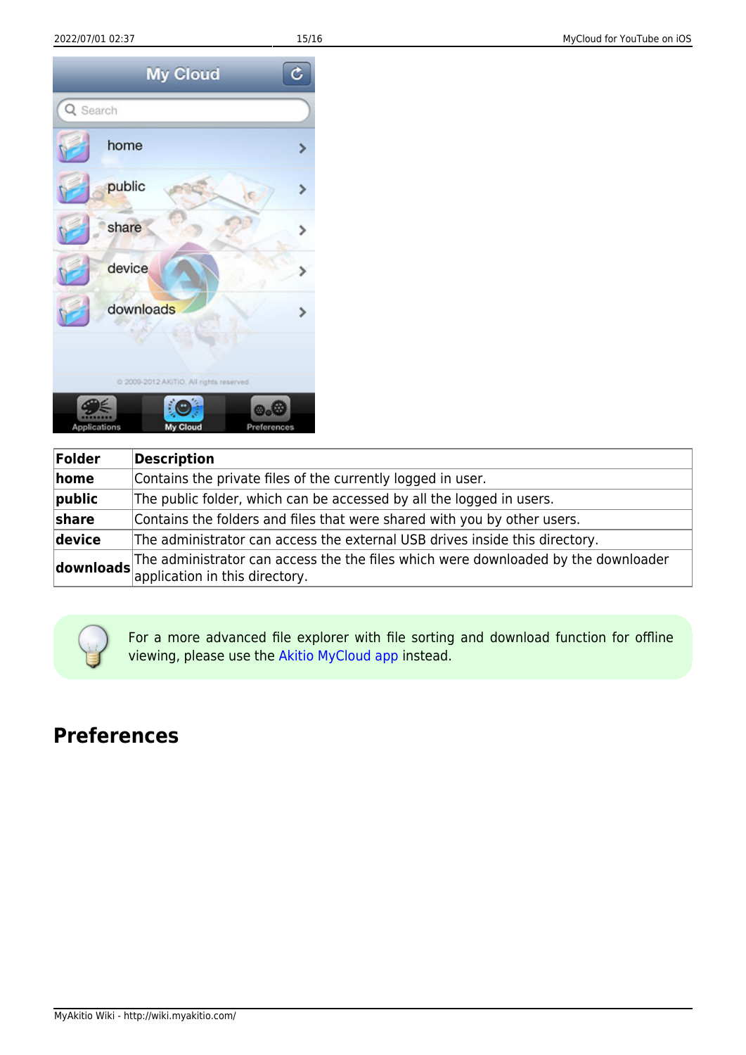

| Folder     | <b>Description</b>                                                                                                                                    |
|------------|-------------------------------------------------------------------------------------------------------------------------------------------------------|
| home       | Contains the private files of the currently logged in user.                                                                                           |
| $ $ public | The public folder, which can be accessed by all the logged in users.                                                                                  |
| share      | Contains the folders and files that were shared with you by other users.                                                                              |
| device     | The administrator can access the external USB drives inside this directory.                                                                           |
|            | $\left $ downloads The administrator can access the the files which were downloaded by the downloader $\left  \right $ application in this directory. |

For a more advanced file explorer with file sorting and download function for offline viewing, please use the [Akitio MyCloud app](http://wiki.myakitio.com/app_ios_mycloud) instead.

### **Preferences**